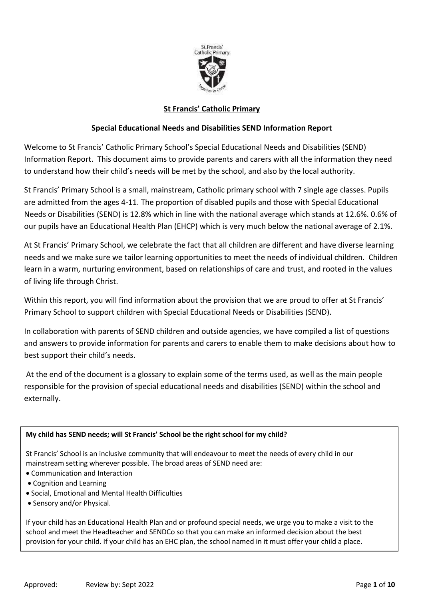

# **St Francis' Catholic Primary**

## **Special Educational Needs and Disabilities SEND Information Report**

Welcome to St Francis' Catholic Primary School's Special Educational Needs and Disabilities (SEND) Information Report. This document aims to provide parents and carers with all the information they need to understand how their child's needs will be met by the school, and also by the local authority.

St Francis' Primary School is a small, mainstream, Catholic primary school with 7 single age classes. Pupils are admitted from the ages 4-11. The proportion of disabled pupils and those with Special Educational Needs or Disabilities (SEND) is 12.8% which in line with the national average which stands at 12.6%. 0.6% of our pupils have an Educational Health Plan (EHCP) which is very much below the national average of 2.1%.

At St Francis' Primary School, we celebrate the fact that all children are different and have diverse learning needs and we make sure we tailor learning opportunities to meet the needs of individual children. Children learn in a warm, nurturing environment, based on relationships of care and trust, and rooted in the values of living life through Christ.

Within this report, you will find information about the provision that we are proud to offer at St Francis' Primary School to support children with Special Educational Needs or Disabilities (SEND).

In collaboration with parents of SEND children and outside agencies, we have compiled a list of questions and answers to provide information for parents and carers to enable them to make decisions about how to best support their child's needs.

At the end of the document is a glossary to explain some of the terms used, as well as the main people responsible for the provision of special educational needs and disabilities (SEND) within the school and externally.

### **My child has SEND needs; will St Francis' School be the right school for my child?**

St Francis' School is an inclusive community that will endeavour to meet the needs of every child in our mainstream setting wherever possible. The broad areas of SEND need are:

- Communication and Interaction
- Cognition and Learning
- Social, Emotional and Mental Health Difficulties
- Sensory and/or Physical.

If your child has an Educational Health Plan and or profound special needs, we urge you to make a visit to the school and meet the Headteacher and SENDCo so that you can make an informed decision about the best provision for your child. If your child has an [EHC plan,](http://www.kent.gov.uk/education-and-children/special-educational-needs/education-health-and-care-plans-ehcps) the school named in it must offer your child a place.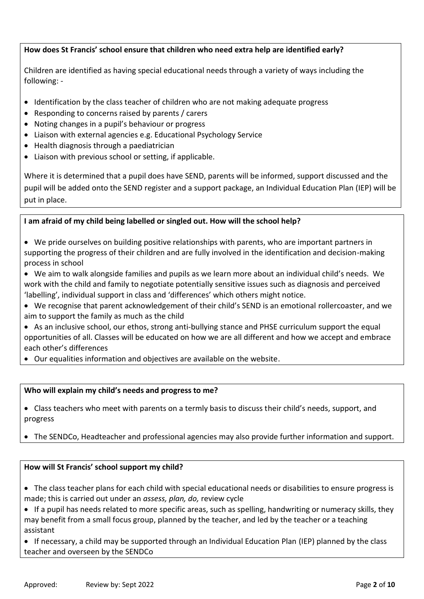# **How does St Francis' school ensure that children who need extra help are identified early?**

Children are identified as having special educational needs through a variety of ways including the following: -

- Identification by the class teacher of children who are not making adequate progress
- Responding to concerns raised by parents / carers
- Noting changes in a pupil's behaviour or progress
- Liaison with external agencies e.g. Educational Psychology Service
- Health diagnosis through a paediatrician
- Liaison with previous school or setting, if applicable.

Where it is determined that a pupil does have SEND, parents will be informed, support discussed and the pupil will be added onto the SEND register and a support package, an Individual Education Plan (IEP) will be put in place.

### **I am afraid of my child being labelled or singled out. How will the school help?**

- We pride ourselves on building positive relationships with parents, who are important partners in supporting the progress of their children and are fully involved in the identification and decision-making process in school
- We aim to walk alongside families and pupils as we learn more about an individual child's needs. We work with the child and family to negotiate potentially sensitive issues such as diagnosis and perceived 'labelling', individual support in class and 'differences' which others might notice.
- We recognise that parent acknowledgement of their child's SEND is an emotional rollercoaster, and we aim to support the family as much as the child
- As an inclusive school, our ethos, strong anti-bullying stance and PHSE curriculum support the equal opportunities of all. Classes will be educated on how we are all different and how we accept and embrace each other's differences
- Our equalities information and objectives are available on the website.

### **Who will explain my child's needs and progress to me?**

 Class teachers who meet with parents on a termly basis to discuss their child's needs, support, and progress

The SENDCo, Headteacher and professional agencies may also provide further information and support.

### **How will St Francis' school support my child?**

- The class teacher plans for each child with special educational needs or disabilities to ensure progress is made; this is carried out under an *assess, plan, do,* review cycle
- If a pupil has needs related to more specific areas, such as spelling, handwriting or numeracy skills, they may benefit from a small focus group, planned by the teacher, and led by the teacher or a teaching assistant

 If necessary, a child may be supported through an Individual Education Plan (IEP) planned by the class teacher and overseen by the SENDCo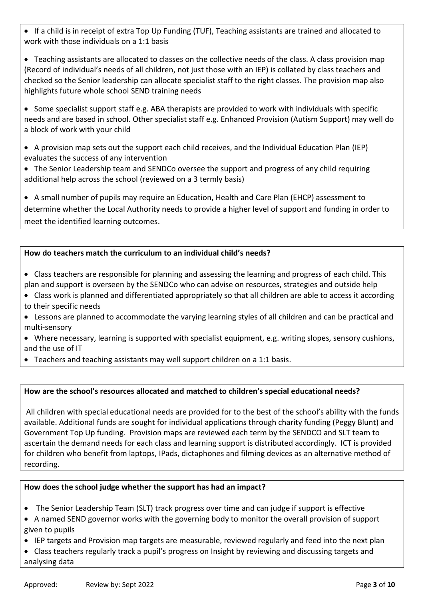If a child is in receipt of extra Top Up Funding (TUF), Teaching assistants are trained and allocated to work with those individuals on a 1:1 basis

• Teaching assistants are allocated to classes on the collective needs of the class. A class provision map (Record of individual's needs of all children, not just those with an IEP) is collated by class teachers and checked so the Senior leadership can allocate specialist staff to the right classes. The provision map also highlights future whole school SEND training needs

• Some specialist support staff e.g. ABA therapists are provided to work with individuals with specific needs and are based in school. Other specialist staff e.g. Enhanced Provision (Autism Support) may well do a block of work with your child

 A provision map sets out the support each child receives, and the Individual Education Plan (IEP) evaluates the success of any intervention

• The Senior Leadership team and SENDCo oversee the support and progress of any child requiring additional help across the school (reviewed on a 3 termly basis)

 A small number of pupils may require an Education, Health and Care Plan (EHCP) assessment to determine whether the Local Authority needs to provide a higher level of support and funding in order to meet the identified learning outcomes.

# **How do teachers match the curriculum to an individual child's needs?**

- Class teachers are responsible for planning and assessing the learning and progress of each child. This plan and support is overseen by the SENDCo who can advise on resources, strategies and outside help
- Class work is planned and differentiated appropriately so that all children are able to access it according to their specific needs
- Lessons are planned to accommodate the varying learning styles of all children and can be practical and multi-sensory
- Where necessary, learning is supported with specialist equipment, e.g. writing slopes, sensory cushions, and the use of IT
- Teachers and teaching assistants may well support children on a 1:1 basis.

## **How are the school's resources allocated and matched to children's special educational needs?**

All children with special educational needs are provided for to the best of the school's ability with the funds available. Additional funds are sought for individual applications through charity funding (Peggy Blunt) and Government Top Up funding. Provision maps are reviewed each term by the SENDCO and SLT team to ascertain the demand needs for each class and learning support is distributed accordingly. ICT is provided for children who benefit from laptops, IPads, dictaphones and filming devices as an alternative method of recording.

## **How does the school judge whether the support has had an impact?**

- The Senior Leadership Team (SLT) track progress over time and can judge if support is effective
- A named SEND governor works with the governing body to monitor the overall provision of support given to pupils
- IEP targets and Provision map targets are measurable, reviewed regularly and feed into the next plan

 Class teachers regularly track a pupil's progress on Insight by reviewing and discussing targets and analysing data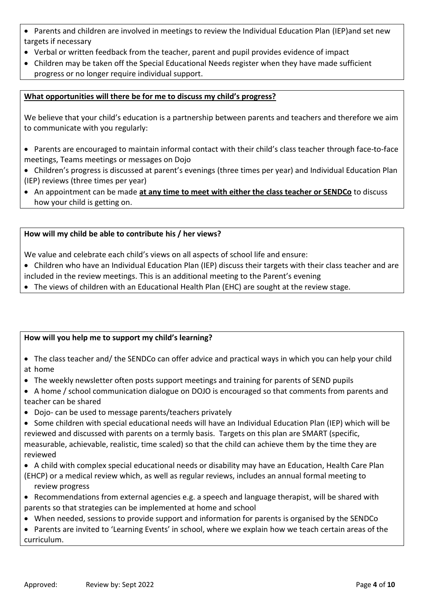- Parents and children are involved in meetings to review the Individual Education Plan (IEP)and set new targets if necessary
- Verbal or written feedback from the teacher, parent and pupil provides evidence of impact
- Children may be taken off the Special Educational Needs register when they have made sufficient progress or no longer require individual support.

# **What opportunities will there be for me to discuss my child's progress?**

We believe that your child's education is a partnership between parents and teachers and therefore we aim to communicate with you regularly:

- Parents are encouraged to maintain informal contact with their child's class teacher through face-to-face meetings, Teams meetings or messages on Dojo
- Children's progress is discussed at parent's evenings (three times per year) and Individual Education Plan (IEP) reviews (three times per year)
- An appointment can be made **at any time to meet with either the class teacher or SENDCo** to discuss how your child is getting on.

# **How will my child be able to contribute his / her views?**

We value and celebrate each child's views on all aspects of school life and ensure:

- Children who have an Individual Education Plan (IEP) discuss their targets with their class teacher and are included in the review meetings. This is an additional meeting to the Parent's evening
- The views of children with an Educational Health Plan (EHC) are sought at the review stage.

## **How will you help me to support my child's learning?**

- The class teacher and/ the SENDCo can offer advice and practical ways in which you can help your child at home
- The weekly newsletter often posts support meetings and training for parents of SEND pupils
- A home / school communication dialogue on DOJO is encouraged so that comments from parents and teacher can be shared
- Dojo- can be used to message parents/teachers privately
- Some children with special educational needs will have an Individual Education Plan (IEP) which will be reviewed and discussed with parents on a termly basis. Targets on this plan are SMART (specific, measurable, achievable, realistic, time scaled) so that the child can achieve them by the time they are reviewed
- A child with complex special educational needs or disability may have an Education, Health Care Plan (EHCP) or a medical review which, as well as regular reviews, includes an annual formal meeting to review progress
- Recommendations from external agencies e.g. a speech and language therapist, will be shared with parents so that strategies can be implemented at home and school
- When needed, sessions to provide support and information for parents is organised by the SENDCo
- Parents are invited to 'Learning Events' in school, where we explain how we teach certain areas of the curriculum.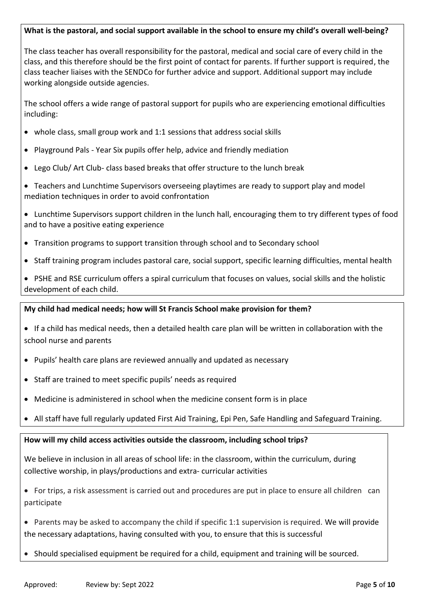### **What is the pastoral, and social support available in the school to ensure my child's overall well-being?**

The class teacher has overall responsibility for the pastoral, medical and social care of every child in the class, and this therefore should be the first point of contact for parents. If further support is required, the class teacher liaises with the SENDCo for further advice and support. Additional support may include working alongside outside agencies.

The school offers a wide range of pastoral support for pupils who are experiencing emotional difficulties including:

- whole class, small group work and 1:1 sessions that address social skills
- Playground Pals Year Six pupils offer help, advice and friendly mediation
- Lego Club/ Art Club- class based breaks that offer structure to the lunch break
- Teachers and Lunchtime Supervisors overseeing playtimes are ready to support play and model mediation techniques in order to avoid confrontation
- Lunchtime Supervisors support children in the lunch hall, encouraging them to try different types of food and to have a positive eating experience
- Transition programs to support transition through school and to Secondary school
- Staff training program includes pastoral care, social support, specific learning difficulties, mental health
- PSHE and RSE curriculum offers a spiral curriculum that focuses on values, social skills and the holistic development of each child.

### **My child had medical needs; how will St Francis School make provision for them?**

- If a child has medical needs, then a detailed health care plan will be written in collaboration with the school nurse and parents
- Pupils' health care plans are reviewed annually and updated as necessary
- Staff are trained to meet specific pupils' needs as required
- Medicine is administered in school when the medicine consent form is in place
- All staff have full regularly updated First Aid Training, Epi Pen, Safe Handling and Safeguard Training.

### **How will my child access activities outside the classroom, including school trips?**

We believe in inclusion in all areas of school life: in the classroom, within the curriculum, during collective worship, in plays/productions and extra- curricular activities

- For trips, a risk assessment is carried out and procedures are put in place to ensure all children can participate
- Parents may be asked to accompany the child if specific 1:1 supervision is required. We will provide the necessary adaptations, having consulted with you, to ensure that this is successful
- Should specialised equipment be required for a child, equipment and training will be sourced.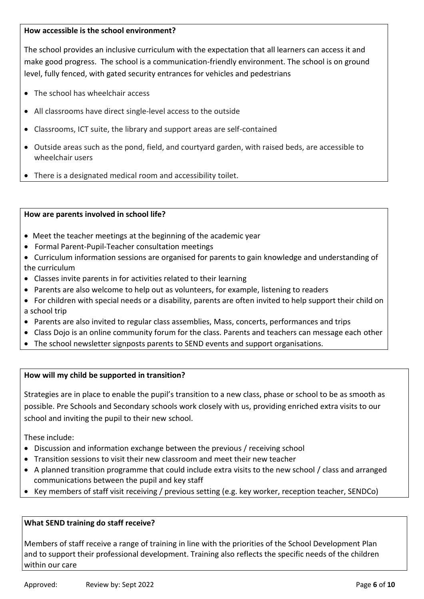### **How accessible is the school environment?**

The school provides an inclusive curriculum with the expectation that all learners can access it and make good progress. The school is a communication-friendly environment. The school is on ground level, fully fenced, with gated security entrances for vehicles and pedestrians

- The school has wheelchair access
- All classrooms have direct single-level access to the outside
- Classrooms, ICT suite, the library and support areas are self-contained
- Outside areas such as the pond, field, and courtyard garden, with raised beds, are accessible to wheelchair users
- There is a designated medical room and accessibility toilet.

### **How are parents involved in school life?**

- Meet the teacher meetings at the beginning of the academic year
- Formal Parent-Pupil-Teacher consultation meetings
- Curriculum information sessions are organised for parents to gain knowledge and understanding of the curriculum
- Classes invite parents in for activities related to their learning
- Parents are also welcome to help out as volunteers, for example, listening to readers
- For children with special needs or a disability, parents are often invited to help support their child on a school trip
- Parents are also invited to regular class assemblies, Mass, concerts, performances and trips
- Class Dojo is an online community forum for the class. Parents and teachers can message each other
- The school newsletter signposts parents to SEND events and support organisations.

### **How will my child be supported in transition?**

Strategies are in place to enable the pupil's transition to a new class, phase or school to be as smooth as possible. Pre Schools and Secondary schools work closely with us, providing enriched extra visits to our school and inviting the pupil to their new school.

These include:

- Discussion and information exchange between the previous / receiving school
- Transition sessions to visit their new classroom and meet their new teacher
- A planned transition programme that could include extra visits to the new school / class and arranged communications between the pupil and key staff
- Key members of staff visit receiving / previous setting (e.g. key worker, reception teacher, SENDCo)

### **What SEND training do staff receive?**

Members of staff receive a range of training in line with the priorities of the School Development Plan and to support their professional development. Training also reflects the specific needs of the children within our care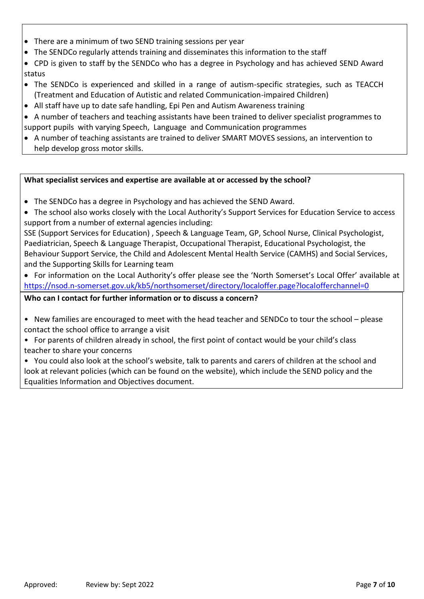- There are a minimum of two SEND training sessions per year
- The SENDCo regularly attends training and disseminates this information to the staff
- CPD is given to staff by the SENDCo who has a degree in Psychology and has achieved SEND Award status
- The SENDCo is experienced and skilled in a range of autism-specific strategies, such as TEACCH (Treatment and Education of Autistic and related Communication-impaired Children)
- All staff have up to date safe handling, Epi Pen and Autism Awareness training
- A number of teachers and teaching assistants have been trained to deliver specialist programmes to support pupils with varying Speech, Language and Communication programmes
- A number of teaching assistants are trained to deliver SMART MOVES sessions, an intervention to help develop gross motor skills.

## **What specialist services and expertise are available at or accessed by the school?**

- The SENDCo has a degree in Psychology and has achieved the SEND Award.
- The school also works closely with the Local Authority's Support Services for Education Service to access support from a number of external agencies including:

SSE (Support Services for Education) , Speech & Language Team, GP, School Nurse, Clinical Psychologist, Paediatrician, Speech & Language Therapist, Occupational Therapist, Educational Psychologist, the Behaviour Support Service, the Child and Adolescent Mental Health Service (CAMHS) and Social Services, and the Supporting Skills for Learning team

• For information on the Local Authority's offer please see the 'North Somerset's Local Offer' available at <https://nsod.n-somerset.gov.uk/kb5/northsomerset/directory/localoffer.page?localofferchannel=0>

## **Who can I contact for further information or to discuss a concern?**

- New families are encouraged to meet with the head teacher and SENDCo to tour the school please contact the school office to arrange a visit
- For parents of children already in school, the first point of contact would be your child's class teacher to share your concerns
- You could also look at the school's website, talk to parents and carers of children at the school and look at relevant policies (which can be found on the website), which include the SEND policy and the Equalities Information and Objectives document.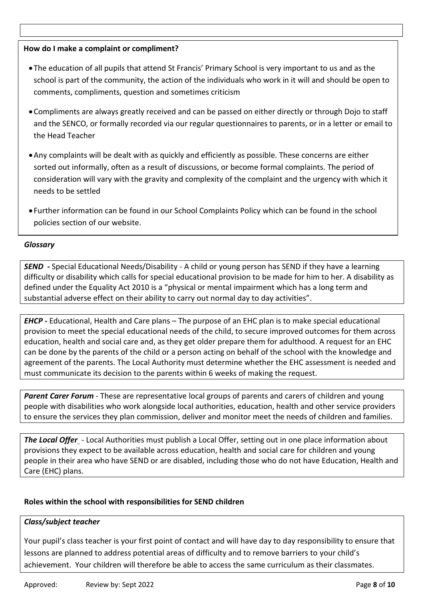# **How do I make a complaint or compliment?**

- The education of all pupils that attend St Francis' Primary School is very important to us and as the school is part of the community, the action of the individuals who work in it will and should be open to comments, compliments, question and sometimes criticism
- Compliments are always greatly received and can be passed on either directly or through Dojo to staff and the SENCO, or formally recorded via our regular questionnaires to parents, or in a letter or email to the Head Teacher
- Any complaints will be dealt with as quickly and efficiently as possible. These concerns are either sorted out informally, often as a result of discussions, or become formal complaints. The period of consideration will vary with the gravity and complexity of the complaint and the urgency with which it needs to be settled
- Further information can be found in our School Complaints Policy which can be found in the school policies section of our website.

## *Glossary*

*SEND* **-** Special Educational Needs/Disability - A child or young person has SEND if they have a learning difficulty or disability which calls for special educational provision to be made for him to her. A disability as defined under the Equality Act 2010 is a "physical or mental impairment which has a long term and substantial adverse effect on their ability to carry out normal day to day activities".

*EHCP -* Educational, Health and Care plans – The purpose of an EHC plan is to make special educational provision to meet the special educational needs of the child, to secure improved outcomes for them across education, health and social care and, as they get older prepare them for adulthood. A request for an EHC can be done by the parents of the child or a person acting on behalf of the school with the knowledge and agreement of the parents. The Local Authority must determine whether the EHC assessment is needed and must communicate its decision to the parents within 6 weeks of making the request.

*Parent Carer Forum* - These are representative local groups of parents and carers of children and young people with disabilities who work alongside local authorities, education, health and other service providers to ensure the services they plan commission, deliver and monitor meet the needs of children and families.

*The Local Offer* - Local Authorities must publish a Local Offer, setting out in one place information about provisions they expect to be available across education, health and social care for children and young people in their area who have SEND or are disabled, including those who do not have Education, Health and Care (EHC) plans.

## **Roles within the school with responsibilities for SEND children**

## *Class/subject teacher*

Your pupil's class teacher is your first point of contact and will have day to day responsibility to ensure that lessons are planned to address potential areas of difficulty and to remove barriers to your child's achievement. Your children will therefore be able to access the same curriculum as their classmates.